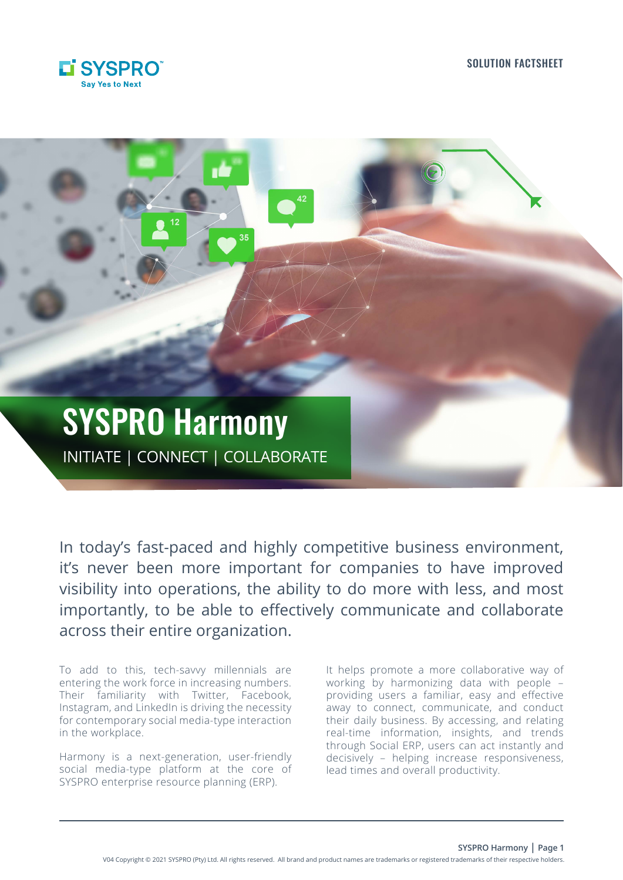



In today's fast-paced and highly competitive business environment, it's never been more important for companies to have improved visibility into operations, the ability to do more with less, and most importantly, to be able to effectively communicate and collaborate across their entire organization.

To add to this, tech-savvy millennials are entering the work force in increasing numbers. Their familiarity with Twitter, Facebook, Instagram, and LinkedIn is driving the necessity for contemporary social media-type interaction in the workplace.

Harmony is a next-generation, user-friendly social media-type platform at the core of SYSPRO enterprise resource planning (ERP).

It helps promote a more collaborative way of working by harmonizing data with people – providing users a familiar, easy and effective away to connect, communicate, and conduct their daily business. By accessing, and relating real-time information, insights, and trends through Social ERP, users can act instantly and decisively – helping increase responsiveness, lead times and overall productivity.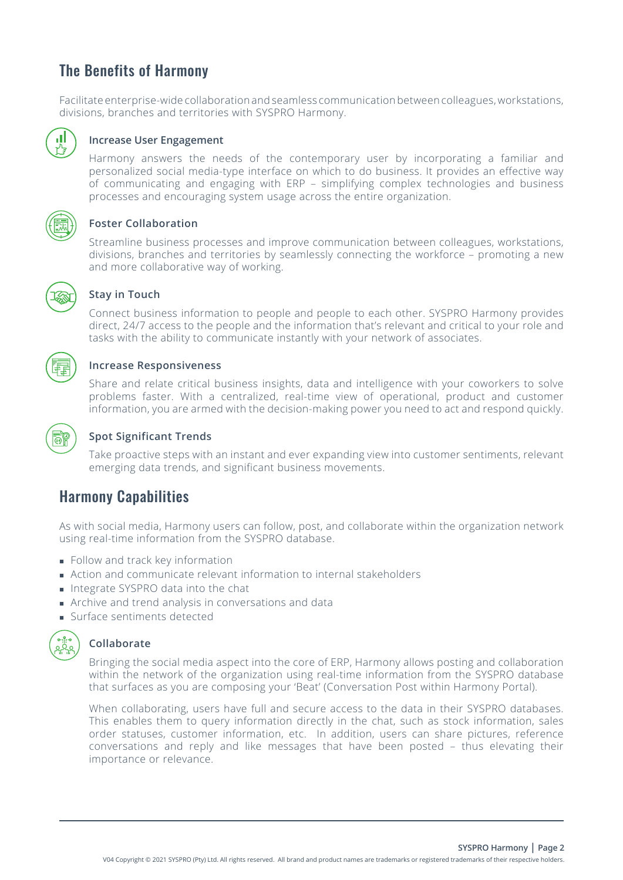# The Benefits of Harmony

Facilitate enterprise-wide collaboration and seamless communication between colleagues, workstations, divisions, branches and territories with SYSPRO Harmony.



### **Increase User Engagement**

 Harmony answers the needs of the contemporary user by incorporating a familiar and personalized social media-type interface on which to do business. It provides an effective way of communicating and engaging with ERP – simplifying complex technologies and business processes and encouraging system usage across the entire organization.



### **Foster Collaboration**

 Streamline business processes and improve communication between colleagues, workstations, divisions, branches and territories by seamlessly connecting the workforce – promoting a new and more collaborative way of working.



### **Stay in Touch**

 Connect business information to people and people to each other. SYSPRO Harmony provides direct, 24/7 access to the people and the information that's relevant and critical to your role and tasks with the ability to communicate instantly with your network of associates.

### **Increase Responsiveness**

 Share and relate critical business insights, data and intelligence with your coworkers to solve problems faster. With a centralized, real-time view of operational, product and customer information, you are armed with the decision-making power you need to act and respond quickly.



## **Spot Significant Trends**

 Take proactive steps with an instant and ever expanding view into customer sentiments, relevant emerging data trends, and significant business movements.

## Harmony Capabilities

As with social media, Harmony users can follow, post, and collaborate within the organization network using real-time information from the SYSPRO database.

- **Follow and track key information**
- Action and communicate relevant information to internal stakeholders
- Integrate SYSPRO data into the chat
- Archive and trend analysis in conversations and data
- Surface sentiments detected



### **Collaborate**

 Bringing the social media aspect into the core of ERP, Harmony allows posting and collaboration within the network of the organization using real-time information from the SYSPRO database that surfaces as you are composing your 'Beat' (Conversation Post within Harmony Portal).

 When collaborating, users have full and secure access to the data in their SYSPRO databases. This enables them to query information directly in the chat, such as stock information, sales order statuses, customer information, etc. In addition, users can share pictures, reference conversations and reply and like messages that have been posted – thus elevating their importance or relevance.